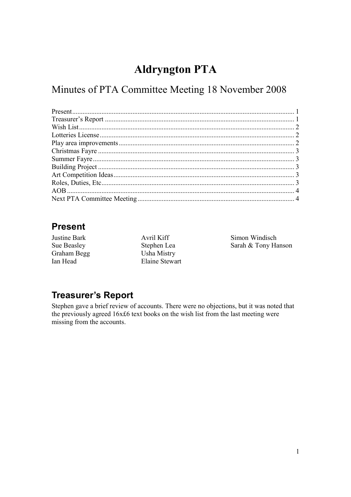# **Aldryngton PTA**

Minutes of PTA Committee Meeting 18 November 2008

## **Present**

Justine Bark Sue Beasley Graham Begg Ian Head

Avril Kiff Stephen Lea Usha Mistry Elaine Stewart Simon Windisch Sarah & Tony Hanson

## **Treasurer's Report**

Stephen gave a brief review of accounts. There were no objections, but it was noted that the previously agreed 16x£6 text books on the wish list from the last meeting were missing from the accounts.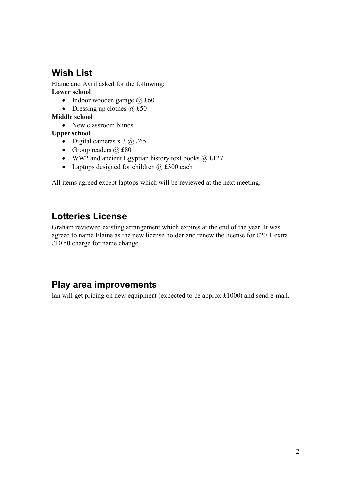## **Wish List**

Elaine and Avril asked for the following: **Lower school** 

- Indoor wooden garage  $\omega$  £60
- Dressing up clothes  $\omega$  £50

**Middle school** 

• New classroom blinds

**Upper school** 

- Digital cameras x  $3$   $\omega$  £65
- Group readers  $\omega$  £80
- WW2 and ancient Egyptian history text books  $\omega$  £127
- Laptops designed for children  $\omega$  £300 each

All items agreed except laptops which will be reviewed at the next meeting.

## **Lotteries License**

Graham reviewed existing arrangement which expires at the end of the year. It was agreed to name Elaine as the new license holder and renew the license for  $£20 + extra$ £10.50 charge for name change.

## **Play area improvements**

Ian will get pricing on new equipment (expected to be approx £1000) and send e-mail.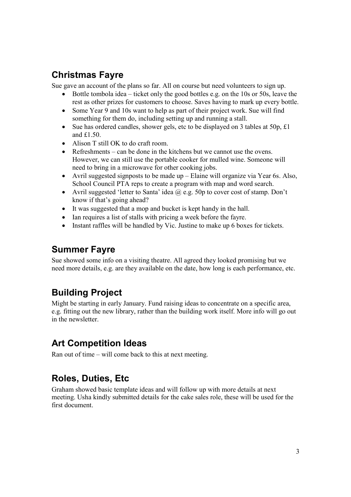## **Christmas Fayre**

Sue gave an account of the plans so far. All on course but need volunteers to sign up.

- Bottle tombola idea ticket only the good bottles e.g. on the 10s or 50s, leave the rest as other prizes for customers to choose. Saves having to mark up every bottle.
- Some Year 9 and 10s want to help as part of their project work. Sue will find something for them do, including setting up and running a stall.
- Sue has ordered candles, shower gels, etc to be displayed on 3 tables at 50p, £1 and £1.50.
- Alison T still OK to do craft room.
- Refreshments can be done in the kitchens but we cannot use the ovens. However, we can still use the portable cooker for mulled wine. Someone will need to bring in a microwave for other cooking jobs.
- Avril suggested signposts to be made up Elaine will organize via Year 6s. Also, School Council PTA reps to create a program with map and word search.
- Avril suggested 'letter to Santa' idea  $\omega$  e.g. 50p to cover cost of stamp. Don't know if that's going ahead?
- It was suggested that a mop and bucket is kept handy in the hall.
- Ian requires a list of stalls with pricing a week before the fayre.
- Instant raffles will be handled by Vic. Justine to make up 6 boxes for tickets.

## **Summer Fayre**

Sue showed some info on a visiting theatre. All agreed they looked promising but we need more details, e.g. are they available on the date, how long is each performance, etc.

## **Building Project**

Might be starting in early January. Fund raising ideas to concentrate on a specific area, e.g. fitting out the new library, rather than the building work itself. More info will go out in the newsletter.

## **Art Competition Ideas**

Ran out of time – will come back to this at next meeting.

## **Roles, Duties, Etc**

Graham showed basic template ideas and will follow up with more details at next meeting. Usha kindly submitted details for the cake sales role, these will be used for the first document.